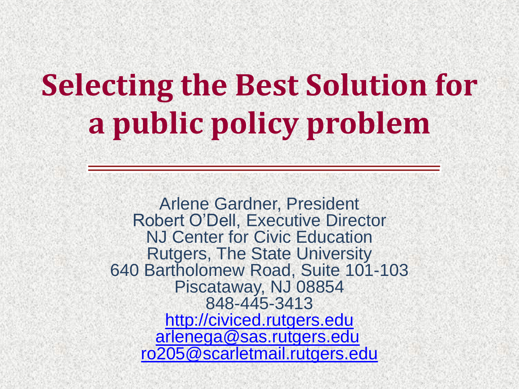# **Selecting the Best Solution for a public policy problem**

Arlene Gardner, President Robert O'Dell, Executive Director NJ Center for Civic Education Rutgers, The State University 640 Bartholomew Road, Suite 101-103 Piscataway, NJ 08854 848-445-3413 [http://civiced.rutgers.edu](http://civiced.rutgers.edu/) [arlenega@sas.rutgers.edu](mailto:arlenega@sas.rutgers.edu) [ro205@scarletmail.rutgers.edu](mailto:ro205@scarletmail.rutgers.edu)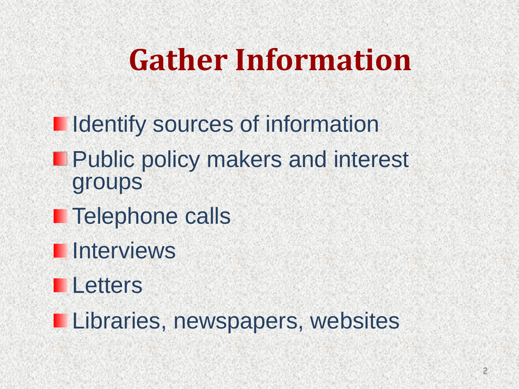## **Gather Information**

- **I** Identify sources of information
- Public policy makers and interest groups
- **Telephone calls**
- **Interviews**
- **Letters**
- **Libraries, newspapers, websites**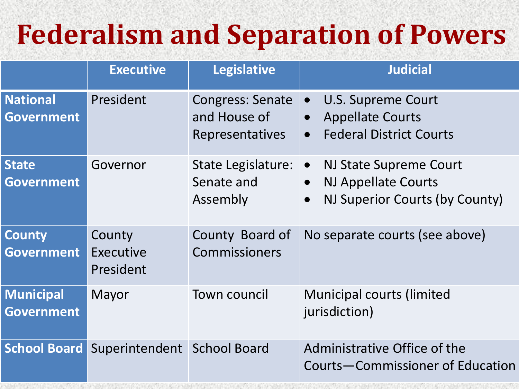#### **Federalism and Separation of Powers**

|                                       | <b>Executive</b>                         | <b>Legislative</b>                                                | <b>Judicial</b>                                                                                                               |
|---------------------------------------|------------------------------------------|-------------------------------------------------------------------|-------------------------------------------------------------------------------------------------------------------------------|
| <b>National</b><br><b>Government</b>  | President                                | <b>Congress: Senate</b><br>and House of<br><b>Representatives</b> | U.S. Supreme Court<br>$\bullet$<br><b>Appellate Courts</b><br>$\bullet$<br><b>Federal District Courts</b><br>$\bullet$        |
| <b>State</b><br><b>Government</b>     | Governor                                 | State Legislature:<br>Senate and<br>Assembly                      | NJ State Supreme Court<br>$\bullet$<br><b>NJ Appellate Courts</b><br>$\bullet$<br>NJ Superior Courts (by County)<br>$\bullet$ |
| <b>County</b><br><b>Government</b>    | County<br>Executive<br>President         | County Board of<br><b>Commissioners</b>                           | No separate courts (see above)                                                                                                |
| <b>Municipal</b><br><b>Government</b> | Mayor                                    | <b>Town council</b>                                               | <b>Municipal courts (limited)</b><br>jurisdiction)                                                                            |
|                                       | School Board Superintendent School Board |                                                                   | Administrative Office of the<br>Courts-Commissioner of Education                                                              |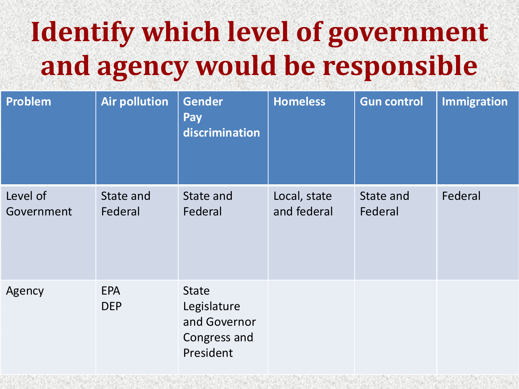### **Identify which level of government and agency would be responsible**

| Problem                | <b>Air pollution</b>     | <b>Gender</b><br><b>Pay</b><br>discrimination                            | <b>Homeless</b>             | <b>Gun control</b>   | Immigration |
|------------------------|--------------------------|--------------------------------------------------------------------------|-----------------------------|----------------------|-------------|
| Level of<br>Government | State and<br>Federal     | State and<br>Federal                                                     | Local, state<br>and federal | State and<br>Federal | Federal     |
| Agency                 | <b>EPA</b><br><b>DEP</b> | <b>State</b><br>Legislature<br>and Governor<br>Congress and<br>President |                             |                      |             |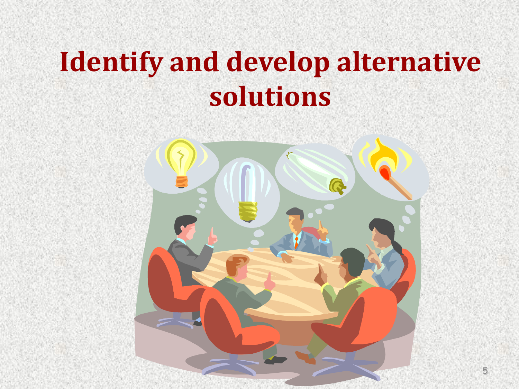### **Identify and develop alternative solutions**

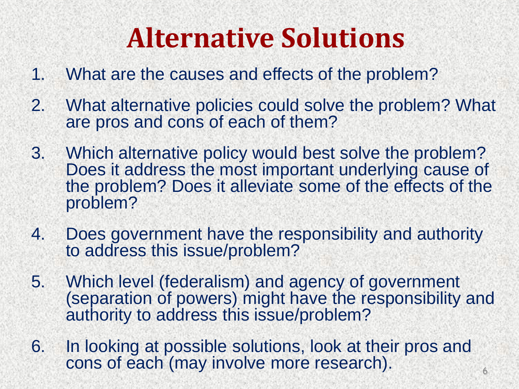#### **Alternative Solutions**

- 1. What are the causes and effects of the problem?
- 2. What alternative policies could solve the problem? What are pros and cons of each of them?
- 3. Which alternative policy would best solve the problem? Does it address the most important underlying cause of the problem? Does it alleviate some of the effects of the problem?
- 4. Does government have the responsibility and authority to address this issue/problem?
- 5. Which level (federalism) and agency of government (separation of powers) might have the responsibility and authority to address this issue/problem?
- 6. In looking at possible solutions, look at their pros and cons of each (may involve more research).